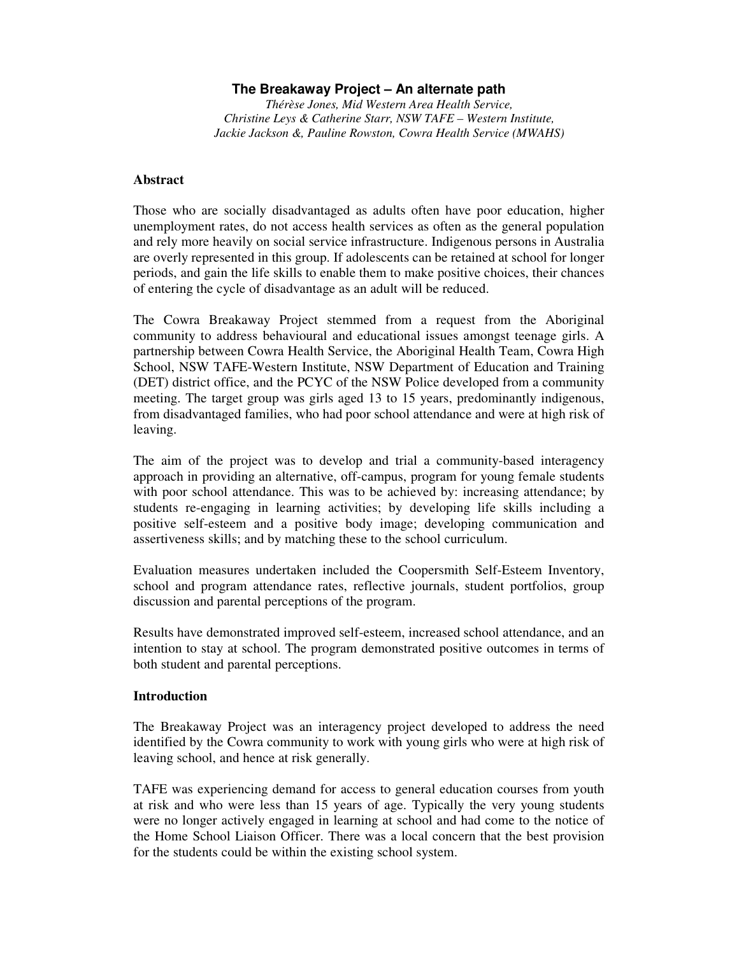# **The Breakaway Project – An alternate path**

*Thérèse Jones, Mid Western Area Health Service, Christine Leys & Catherine Starr, NSW TAFE – Western Institute, Jackie Jackson &, Pauline Rowston, Cowra Health Service (MWAHS)*

### **Abstract**

Those who are socially disadvantaged as adults often have poor education, higher unemployment rates, do not access health services as often as the general population and rely more heavily on social service infrastructure. Indigenous persons in Australia are overly represented in this group. If adolescents can be retained at school for longer periods, and gain the life skills to enable them to make positive choices, their chances of entering the cycle of disadvantage as an adult will be reduced.

The Cowra Breakaway Project stemmed from a request from the Aboriginal community to address behavioural and educational issues amongst teenage girls. A partnership between Cowra Health Service, the Aboriginal Health Team, Cowra High School, NSW TAFE-Western Institute, NSW Department of Education and Training (DET) district office, and the PCYC of the NSW Police developed from a community meeting. The target group was girls aged 13 to 15 years, predominantly indigenous, from disadvantaged families, who had poor school attendance and were at high risk of leaving.

The aim of the project was to develop and trial a community-based interagency approach in providing an alternative, off-campus, program for young female students with poor school attendance. This was to be achieved by: increasing attendance; by students re-engaging in learning activities; by developing life skills including a positive self-esteem and a positive body image; developing communication and assertiveness skills; and by matching these to the school curriculum.

Evaluation measures undertaken included the Coopersmith Self-Esteem Inventory, school and program attendance rates, reflective journals, student portfolios, group discussion and parental perceptions of the program.

Results have demonstrated improved self-esteem, increased school attendance, and an intention to stay at school. The program demonstrated positive outcomes in terms of both student and parental perceptions.

# **Introduction**

The Breakaway Project was an interagency project developed to address the need identified by the Cowra community to work with young girls who were at high risk of leaving school, and hence at risk generally.

TAFE was experiencing demand for access to general education courses from youth at risk and who were less than 15 years of age. Typically the very young students were no longer actively engaged in learning at school and had come to the notice of the Home School Liaison Officer. There was a local concern that the best provision for the students could be within the existing school system.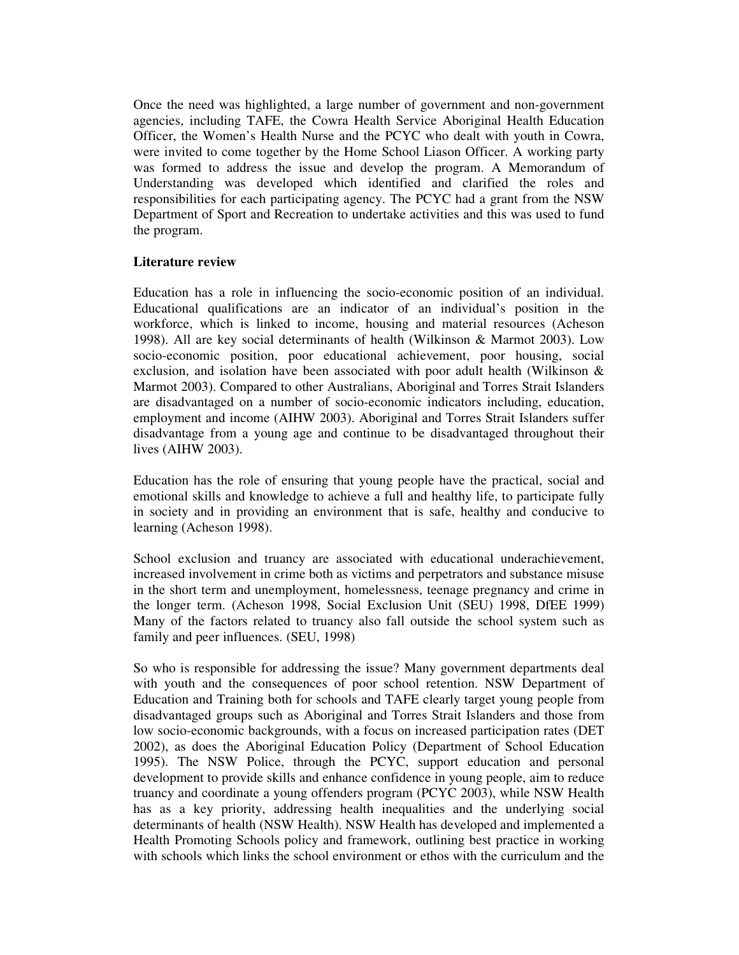Once the need was highlighted, a large number of government and non-government agencies, including TAFE, the Cowra Health Service Aboriginal Health Education Officer, the Women's Health Nurse and the PCYC who dealt with youth in Cowra, were invited to come together by the Home School Liason Officer. A working party was formed to address the issue and develop the program. A Memorandum of Understanding was developed which identified and clarified the roles and responsibilities for each participating agency. The PCYC had a grant from the NSW Department of Sport and Recreation to undertake activities and this was used to fund the program.

# **Literature review**

Education has a role in influencing the socio-economic position of an individual. Educational qualifications are an indicator of an individual's position in the workforce, which is linked to income, housing and material resources (Acheson 1998). All are key social determinants of health (Wilkinson & Marmot 2003). Low socio-economic position, poor educational achievement, poor housing, social exclusion, and isolation have been associated with poor adult health (Wilkinson & Marmot 2003). Compared to other Australians, Aboriginal and Torres Strait Islanders are disadvantaged on a number of socio-economic indicators including, education, employment and income (AIHW 2003). Aboriginal and Torres Strait Islanders suffer disadvantage from a young age and continue to be disadvantaged throughout their lives (AIHW 2003).

Education has the role of ensuring that young people have the practical, social and emotional skills and knowledge to achieve a full and healthy life, to participate fully in society and in providing an environment that is safe, healthy and conducive to learning (Acheson 1998).

School exclusion and truancy are associated with educational underachievement, increased involvement in crime both as victims and perpetrators and substance misuse in the short term and unemployment, homelessness, teenage pregnancy and crime in the longer term. (Acheson 1998, Social Exclusion Unit (SEU) 1998, DfEE 1999) Many of the factors related to truancy also fall outside the school system such as family and peer influences. (SEU, 1998)

So who is responsible for addressing the issue? Many government departments deal with youth and the consequences of poor school retention. NSW Department of Education and Training both for schools and TAFE clearly target young people from disadvantaged groups such as Aboriginal and Torres Strait Islanders and those from low socio-economic backgrounds, with a focus on increased participation rates (DET 2002), as does the Aboriginal Education Policy (Department of School Education 1995). The NSW Police, through the PCYC, support education and personal development to provide skills and enhance confidence in young people, aim to reduce truancy and coordinate a young offenders program (PCYC 2003), while NSW Health has as a key priority, addressing health inequalities and the underlying social determinants of health (NSW Health). NSW Health has developed and implemented a Health Promoting Schools policy and framework, outlining best practice in working with schools which links the school environment or ethos with the curriculum and the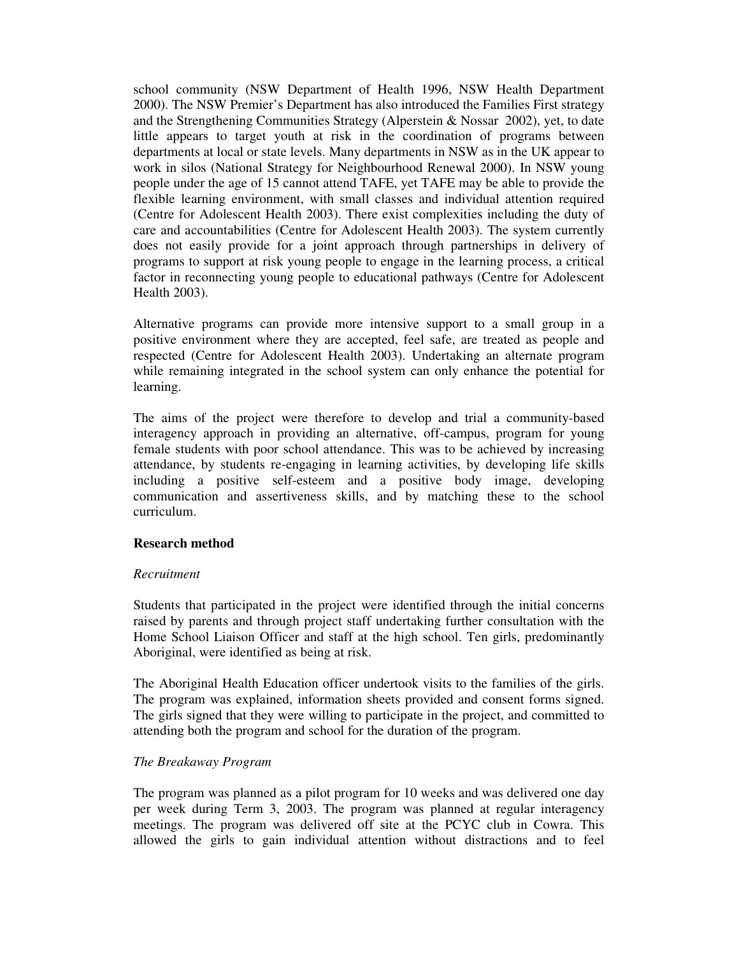school community (NSW Department of Health 1996, NSW Health Department 2000). The NSW Premier's Department has also introduced the Families First strategy and the Strengthening Communities Strategy (Alperstein & Nossar 2002), yet, to date little appears to target youth at risk in the coordination of programs between departments at local or state levels. Many departments in NSW as in the UK appear to work in silos (National Strategy for Neighbourhood Renewal 2000). In NSW young people under the age of 15 cannot attend TAFE, yet TAFE may be able to provide the flexible learning environment, with small classes and individual attention required (Centre for Adolescent Health 2003). There exist complexities including the duty of care and accountabilities (Centre for Adolescent Health 2003). The system currently does not easily provide for a joint approach through partnerships in delivery of programs to support at risk young people to engage in the learning process, a critical factor in reconnecting young people to educational pathways (Centre for Adolescent Health 2003).

Alternative programs can provide more intensive support to a small group in a positive environment where they are accepted, feel safe, are treated as people and respected (Centre for Adolescent Health 2003). Undertaking an alternate program while remaining integrated in the school system can only enhance the potential for learning.

The aims of the project were therefore to develop and trial a community-based interagency approach in providing an alternative, off-campus, program for young female students with poor school attendance. This was to be achieved by increasing attendance, by students re-engaging in learning activities, by developing life skills including a positive self-esteem and a positive body image, developing communication and assertiveness skills, and by matching these to the school curriculum.

# **Research method**

#### *Recruitment*

Students that participated in the project were identified through the initial concerns raised by parents and through project staff undertaking further consultation with the Home School Liaison Officer and staff at the high school. Ten girls, predominantly Aboriginal, were identified as being at risk.

The Aboriginal Health Education officer undertook visits to the families of the girls. The program was explained, information sheets provided and consent forms signed. The girls signed that they were willing to participate in the project, and committed to attending both the program and school for the duration of the program.

#### *The Breakaway Program*

The program was planned as a pilot program for 10 weeks and was delivered one day per week during Term 3, 2003. The program was planned at regular interagency meetings. The program was delivered off site at the PCYC club in Cowra. This allowed the girls to gain individual attention without distractions and to feel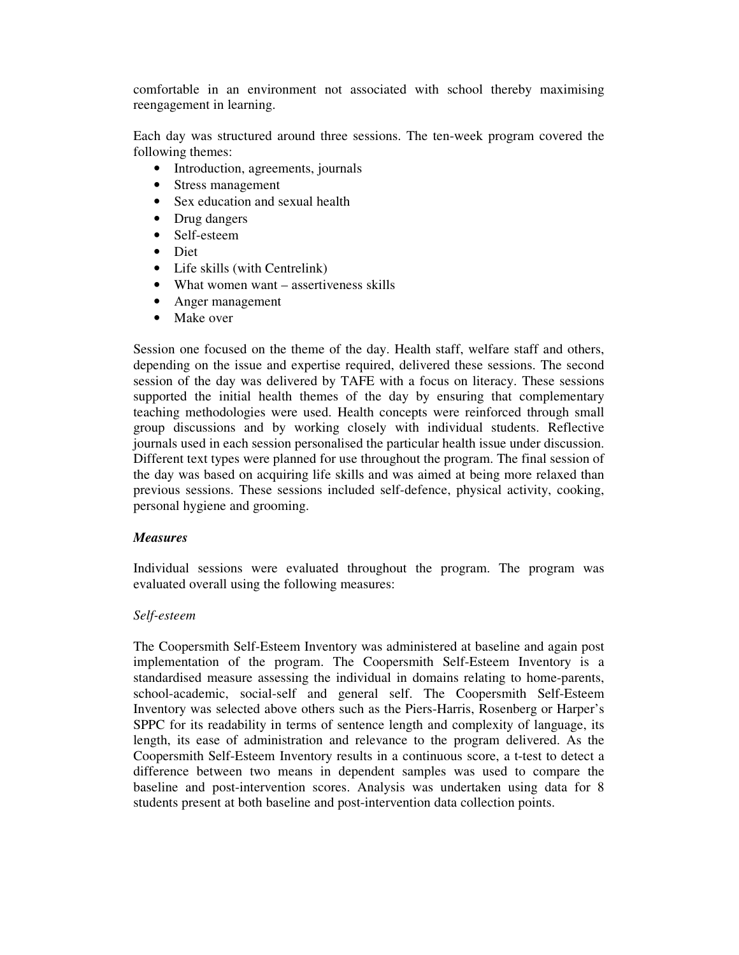comfortable in an environment not associated with school thereby maximising reengagement in learning.

Each day was structured around three sessions. The ten-week program covered the following themes:

- Introduction, agreements, journals
- Stress management
- Sex education and sexual health
- Drug dangers
- Self-esteem
- Diet
- Life skills (with Centrelink)
- What women want assertiveness skills
- Anger management
- Make over

Session one focused on the theme of the day. Health staff, welfare staff and others, depending on the issue and expertise required, delivered these sessions. The second session of the day was delivered by TAFE with a focus on literacy. These sessions supported the initial health themes of the day by ensuring that complementary teaching methodologies were used. Health concepts were reinforced through small group discussions and by working closely with individual students. Reflective journals used in each session personalised the particular health issue under discussion. Different text types were planned for use throughout the program. The final session of the day was based on acquiring life skills and was aimed at being more relaxed than previous sessions. These sessions included self-defence, physical activity, cooking, personal hygiene and grooming.

# *Measures*

Individual sessions were evaluated throughout the program. The program was evaluated overall using the following measures:

# *Self-esteem*

The Coopersmith Self-Esteem Inventory was administered at baseline and again post implementation of the program. The Coopersmith Self-Esteem Inventory is a standardised measure assessing the individual in domains relating to home-parents, school-academic, social-self and general self. The Coopersmith Self-Esteem Inventory was selected above others such as the Piers-Harris, Rosenberg or Harper's SPPC for its readability in terms of sentence length and complexity of language, its length, its ease of administration and relevance to the program delivered. As the Coopersmith Self-Esteem Inventory results in a continuous score, a t-test to detect a difference between two means in dependent samples was used to compare the baseline and post-intervention scores. Analysis was undertaken using data for 8 students present at both baseline and post-intervention data collection points.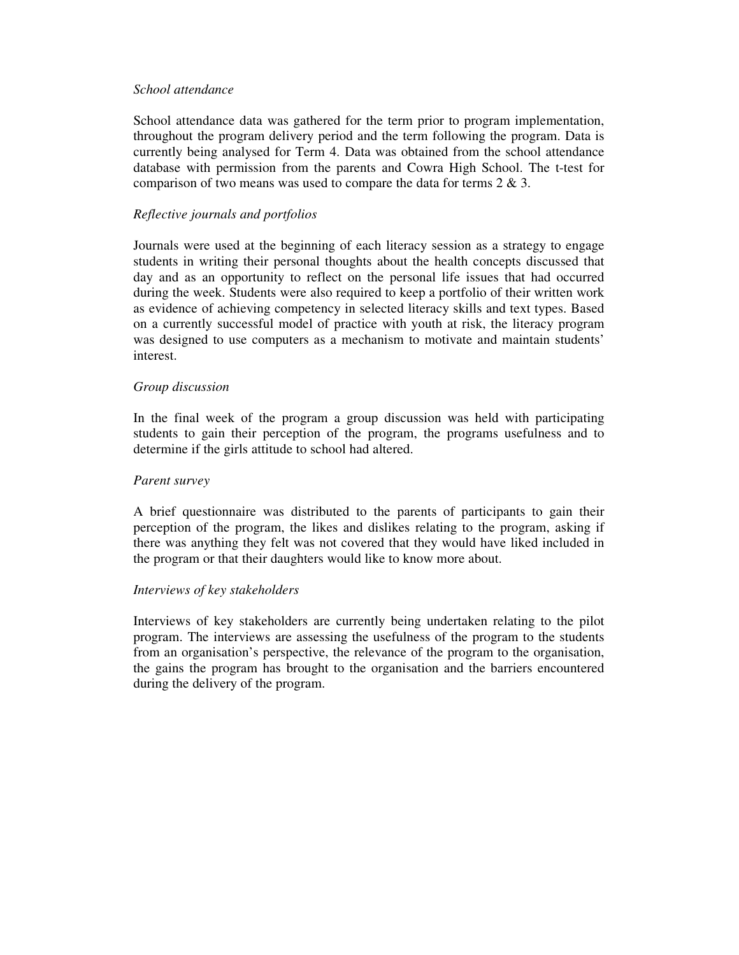#### *School attendance*

School attendance data was gathered for the term prior to program implementation, throughout the program delivery period and the term following the program. Data is currently being analysed for Term 4. Data was obtained from the school attendance database with permission from the parents and Cowra High School. The t-test for comparison of two means was used to compare the data for terms  $2 \& 3$ .

# *Reflective journals and portfolios*

Journals were used at the beginning of each literacy session as a strategy to engage students in writing their personal thoughts about the health concepts discussed that day and as an opportunity to reflect on the personal life issues that had occurred during the week. Students were also required to keep a portfolio of their written work as evidence of achieving competency in selected literacy skills and text types. Based on a currently successful model of practice with youth at risk, the literacy program was designed to use computers as a mechanism to motivate and maintain students' interest.

# *Group discussion*

In the final week of the program a group discussion was held with participating students to gain their perception of the program, the programs usefulness and to determine if the girls attitude to school had altered.

# *Parent survey*

A brief questionnaire was distributed to the parents of participants to gain their perception of the program, the likes and dislikes relating to the program, asking if there was anything they felt was not covered that they would have liked included in the program or that their daughters would like to know more about.

# *Interviews of key stakeholders*

Interviews of key stakeholders are currently being undertaken relating to the pilot program. The interviews are assessing the usefulness of the program to the students from an organisation's perspective, the relevance of the program to the organisation, the gains the program has brought to the organisation and the barriers encountered during the delivery of the program.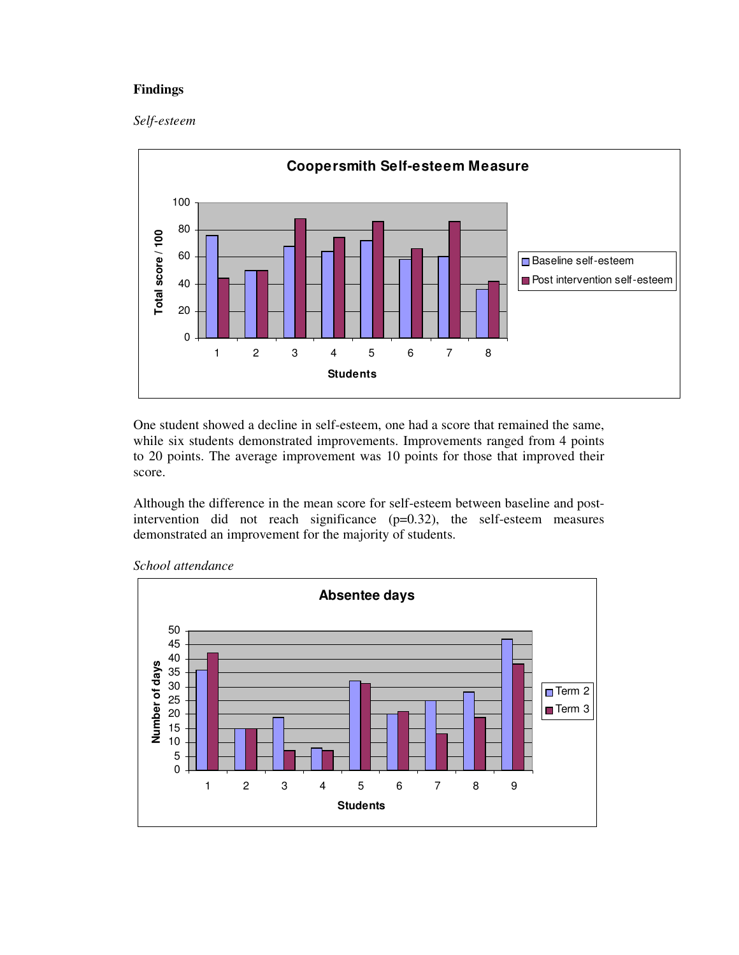# **Findings**

#### *Self-esteem*



One student showed a decline in self-esteem, one had a score that remained the same, while six students demonstrated improvements. Improvements ranged from 4 points to 20 points. The average improvement was 10 points for those that improved their score.

Although the difference in the mean score for self-esteem between baseline and postintervention did not reach significance (p=0.32), the self-esteem measures demonstrated an improvement for the majority of students.



*School attendance*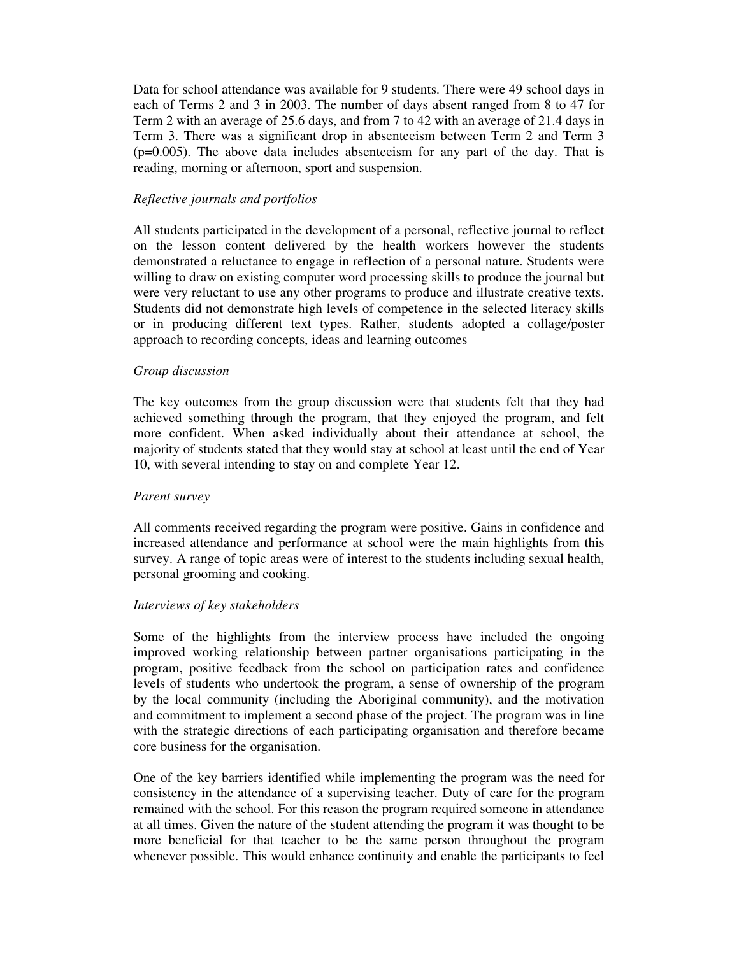Data for school attendance was available for 9 students. There were 49 school days in each of Terms 2 and 3 in 2003. The number of days absent ranged from 8 to 47 for Term 2 with an average of 25.6 days, and from 7 to 42 with an average of 21.4 days in Term 3. There was a significant drop in absenteeism between Term 2 and Term 3 (p=0.005). The above data includes absenteeism for any part of the day. That is reading, morning or afternoon, sport and suspension.

### *Reflective journals and portfolios*

All students participated in the development of a personal, reflective journal to reflect on the lesson content delivered by the health workers however the students demonstrated a reluctance to engage in reflection of a personal nature. Students were willing to draw on existing computer word processing skills to produce the journal but were very reluctant to use any other programs to produce and illustrate creative texts. Students did not demonstrate high levels of competence in the selected literacy skills or in producing different text types. Rather, students adopted a collage/poster approach to recording concepts, ideas and learning outcomes

### *Group discussion*

The key outcomes from the group discussion were that students felt that they had achieved something through the program, that they enjoyed the program, and felt more confident. When asked individually about their attendance at school, the majority of students stated that they would stay at school at least until the end of Year 10, with several intending to stay on and complete Year 12.

#### *Parent survey*

All comments received regarding the program were positive. Gains in confidence and increased attendance and performance at school were the main highlights from this survey. A range of topic areas were of interest to the students including sexual health, personal grooming and cooking.

#### *Interviews of key stakeholders*

Some of the highlights from the interview process have included the ongoing improved working relationship between partner organisations participating in the program, positive feedback from the school on participation rates and confidence levels of students who undertook the program, a sense of ownership of the program by the local community (including the Aboriginal community), and the motivation and commitment to implement a second phase of the project. The program was in line with the strategic directions of each participating organisation and therefore became core business for the organisation.

One of the key barriers identified while implementing the program was the need for consistency in the attendance of a supervising teacher. Duty of care for the program remained with the school. For this reason the program required someone in attendance at all times. Given the nature of the student attending the program it was thought to be more beneficial for that teacher to be the same person throughout the program whenever possible. This would enhance continuity and enable the participants to feel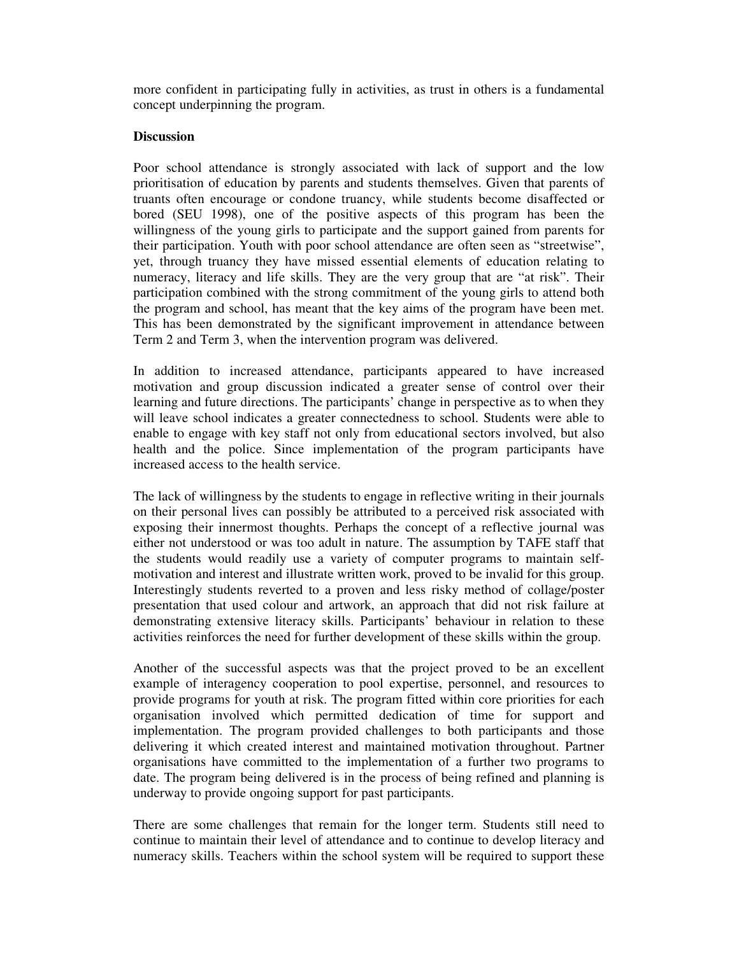more confident in participating fully in activities, as trust in others is a fundamental concept underpinning the program.

#### **Discussion**

Poor school attendance is strongly associated with lack of support and the low prioritisation of education by parents and students themselves. Given that parents of truants often encourage or condone truancy, while students become disaffected or bored (SEU 1998), one of the positive aspects of this program has been the willingness of the young girls to participate and the support gained from parents for their participation. Youth with poor school attendance are often seen as "streetwise", yet, through truancy they have missed essential elements of education relating to numeracy, literacy and life skills. They are the very group that are "at risk". Their participation combined with the strong commitment of the young girls to attend both the program and school, has meant that the key aims of the program have been met. This has been demonstrated by the significant improvement in attendance between Term 2 and Term 3, when the intervention program was delivered.

In addition to increased attendance, participants appeared to have increased motivation and group discussion indicated a greater sense of control over their learning and future directions. The participants' change in perspective as to when they will leave school indicates a greater connectedness to school. Students were able to enable to engage with key staff not only from educational sectors involved, but also health and the police. Since implementation of the program participants have increased access to the health service.

The lack of willingness by the students to engage in reflective writing in their journals on their personal lives can possibly be attributed to a perceived risk associated with exposing their innermost thoughts. Perhaps the concept of a reflective journal was either not understood or was too adult in nature. The assumption by TAFE staff that the students would readily use a variety of computer programs to maintain selfmotivation and interest and illustrate written work, proved to be invalid for this group. Interestingly students reverted to a proven and less risky method of collage/poster presentation that used colour and artwork, an approach that did not risk failure at demonstrating extensive literacy skills. Participants' behaviour in relation to these activities reinforces the need for further development of these skills within the group.

Another of the successful aspects was that the project proved to be an excellent example of interagency cooperation to pool expertise, personnel, and resources to provide programs for youth at risk. The program fitted within core priorities for each organisation involved which permitted dedication of time for support and implementation. The program provided challenges to both participants and those delivering it which created interest and maintained motivation throughout. Partner organisations have committed to the implementation of a further two programs to date. The program being delivered is in the process of being refined and planning is underway to provide ongoing support for past participants.

There are some challenges that remain for the longer term. Students still need to continue to maintain their level of attendance and to continue to develop literacy and numeracy skills. Teachers within the school system will be required to support these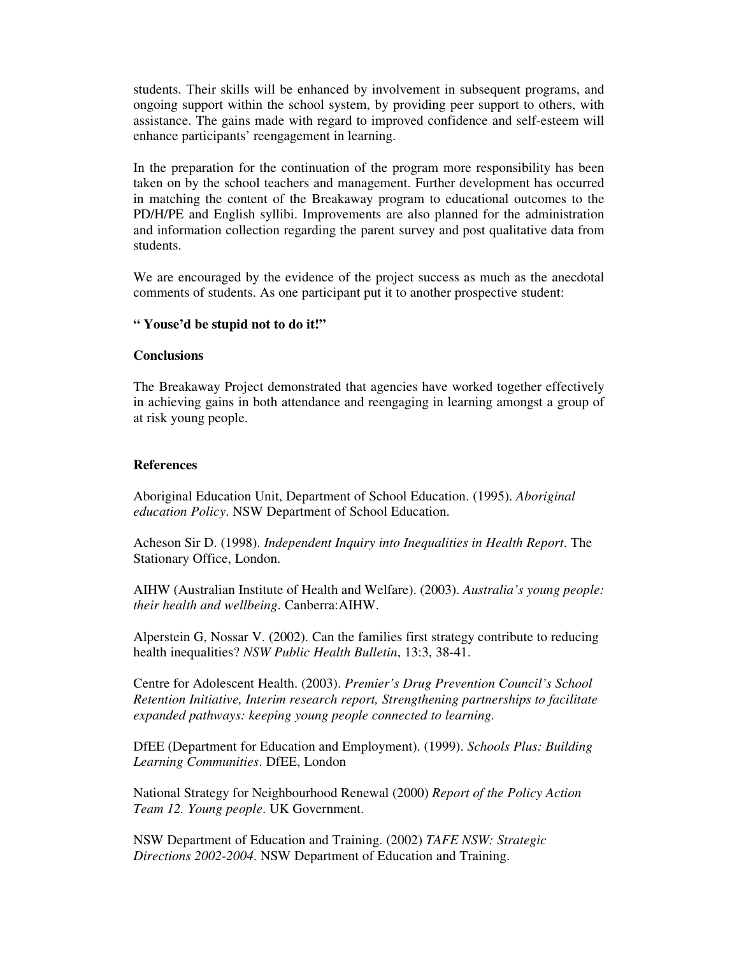students. Their skills will be enhanced by involvement in subsequent programs, and ongoing support within the school system, by providing peer support to others, with assistance. The gains made with regard to improved confidence and self-esteem will enhance participants' reengagement in learning.

In the preparation for the continuation of the program more responsibility has been taken on by the school teachers and management. Further development has occurred in matching the content of the Breakaway program to educational outcomes to the PD/H/PE and English syllibi. Improvements are also planned for the administration and information collection regarding the parent survey and post qualitative data from students.

We are encouraged by the evidence of the project success as much as the anecdotal comments of students. As one participant put it to another prospective student:

#### **" Youse'd be stupid not to do it!"**

#### **Conclusions**

The Breakaway Project demonstrated that agencies have worked together effectively in achieving gains in both attendance and reengaging in learning amongst a group of at risk young people.

### **References**

Aboriginal Education Unit, Department of School Education. (1995). *Aboriginal education Policy*. NSW Department of School Education.

Acheson Sir D. (1998). *Independent Inquiry into Inequalities in Health Report*. The Stationary Office, London.

AIHW (Australian Institute of Health and Welfare). (2003). *Australia's young people: their health and wellbeing*. Canberra:AIHW.

Alperstein G, Nossar V. (2002). Can the families first strategy contribute to reducing health inequalities? *NSW Public Health Bulletin*, 13:3, 38-41.

Centre for Adolescent Health. (2003). *Premier's Drug Prevention Council's School Retention Initiative, Interim research report, Strengthening partnerships to facilitate expanded pathways: keeping young people connected to learning.*

DfEE (Department for Education and Employment). (1999). *Schools Plus: Building Learning Communities*. DfEE, London

National Strategy for Neighbourhood Renewal (2000) *Report of the Policy Action Team 12. Young people*. UK Government.

NSW Department of Education and Training. (2002) *TAFE NSW: Strategic Directions 2002-2004*. NSW Department of Education and Training.